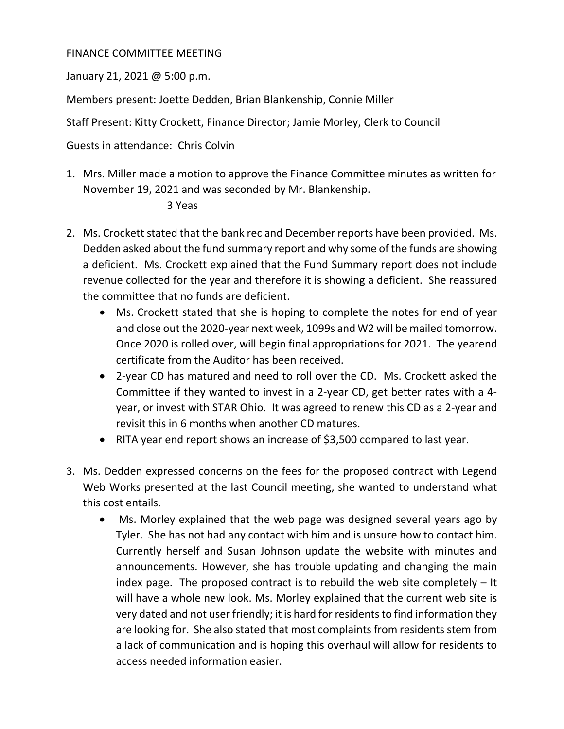## FINANCE COMMITTEE MEETING

January 21, 2021 @ 5:00 p.m.

Members present: Joette Dedden, Brian Blankenship, Connie Miller

Staff Present: Kitty Crockett, Finance Director; Jamie Morley, Clerk to Council

Guests in attendance: Chris Colvin

1. Mrs. Miller made a motion to approve the Finance Committee minutes as written for November 19, 2021 and was seconded by Mr. Blankenship.

## 3 Yeas

- 2. Ms. Crockett stated that the bank rec and December reports have been provided. Ms. Dedden asked about the fund summary report and why some of the funds are showing a deficient. Ms. Crockett explained that the Fund Summary report does not include revenue collected for the year and therefore it is showing a deficient. She reassured the committee that no funds are deficient.
	- Ms. Crockett stated that she is hoping to complete the notes for end of year and close out the 2020-year next week, 1099s and W2 will be mailed tomorrow. Once 2020 is rolled over, will begin final appropriations for 2021. The yearend certificate from the Auditor has been received.
	- 2-year CD has matured and need to roll over the CD. Ms. Crockett asked the Committee if they wanted to invest in a 2-year CD, get better rates with a 4 year, or invest with STAR Ohio. It was agreed to renew this CD as a 2-year and revisit this in 6 months when another CD matures.
	- RITA year end report shows an increase of \$3,500 compared to last year.
- 3. Ms. Dedden expressed concerns on the fees for the proposed contract with Legend Web Works presented at the last Council meeting, she wanted to understand what this cost entails.
	- Ms. Morley explained that the web page was designed several years ago by Tyler. She has not had any contact with him and is unsure how to contact him. Currently herself and Susan Johnson update the website with minutes and announcements. However, she has trouble updating and changing the main index page. The proposed contract is to rebuild the web site completely – It will have a whole new look. Ms. Morley explained that the current web site is very dated and not user friendly; it is hard for residents to find information they are looking for. She also stated that most complaints from residents stem from a lack of communication and is hoping this overhaul will allow for residents to access needed information easier.